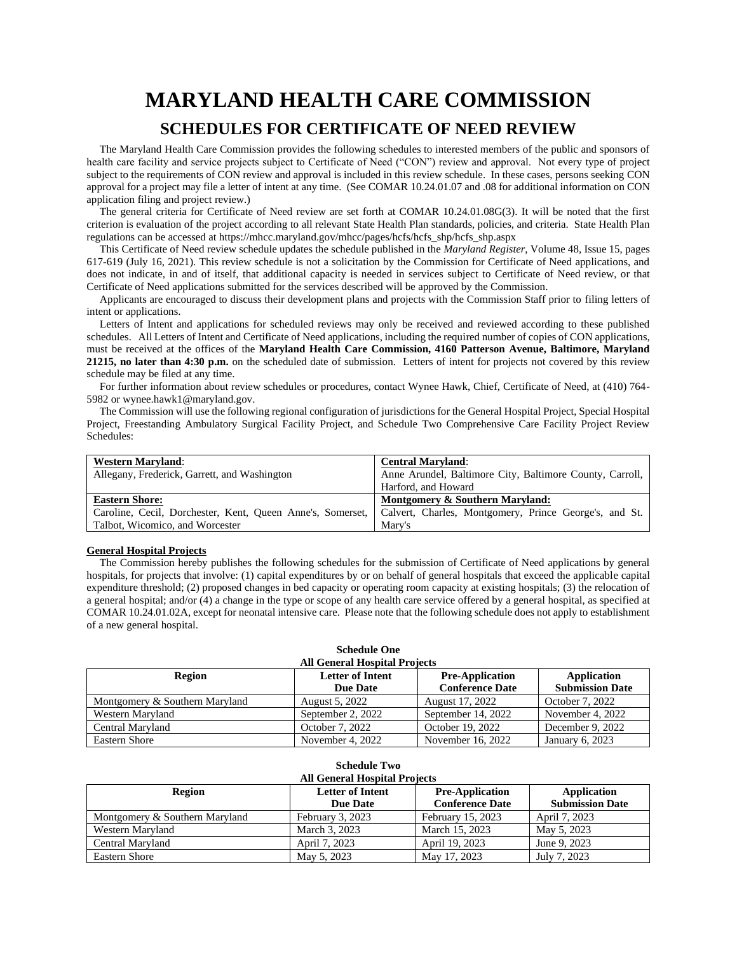# **MARYLAND HEALTH CARE COMMISSION SCHEDULES FOR CERTIFICATE OF NEED REVIEW**

The Maryland Health Care Commission provides the following schedules to interested members of the public and sponsors of health care facility and service projects subject to Certificate of Need ("CON") review and approval. Not every type of project subject to the requirements of CON review and approval is included in this review schedule. In these cases, persons seeking CON approval for a project may file a letter of intent at any time. (See COMAR 10.24.01.07 and .08 for additional information on CON application filing and project review.)

The general criteria for Certificate of Need review are set forth at COMAR 10.24.01.08G(3). It will be noted that the first criterion is evaluation of the project according to all relevant State Health Plan standards, policies, and criteria. State Health Plan regulations can be accessed at https://mhcc.maryland.gov/mhcc/pages/hcfs/hcfs\_shp/hcfs\_shp.aspx

This Certificate of Need review schedule updates the schedule published in the *Maryland Register*, Volume 48, Issue 15, pages 617-619 (July 16, 2021). This review schedule is not a solicitation by the Commission for Certificate of Need applications, and does not indicate, in and of itself, that additional capacity is needed in services subject to Certificate of Need review, or that Certificate of Need applications submitted for the services described will be approved by the Commission.

Applicants are encouraged to discuss their development plans and projects with the Commission Staff prior to filing letters of intent or applications.

Letters of Intent and applications for scheduled reviews may only be received and reviewed according to these published schedules. All Letters of Intent and Certificate of Need applications, including the required number of copies of CON applications, must be received at the offices of the **Maryland Health Care Commission, 4160 Patterson Avenue, Baltimore, Maryland 21215, no later than 4:30 p.m.** on the scheduled date of submission. Letters of intent for projects not covered by this review schedule may be filed at any time.

For further information about review schedules or procedures, contact Wynee Hawk, Chief, Certificate of Need, at (410) 764- 5982 or wynee.hawk1@maryland.gov.

The Commission will use the following regional configuration of jurisdictions for the General Hospital Project, Special Hospital Project, Freestanding Ambulatory Surgical Facility Project, and Schedule Two Comprehensive Care Facility Project Review Schedules:

| <b>Western Maryland:</b>                                   | <b>Central Maryland:</b>                                 |
|------------------------------------------------------------|----------------------------------------------------------|
| Allegany, Frederick, Garrett, and Washington               | Anne Arundel, Baltimore City, Baltimore County, Carroll, |
|                                                            | Harford, and Howard                                      |
|                                                            |                                                          |
| <b>Eastern Shore:</b>                                      | Montgomery & Southern Maryland:                          |
| Caroline, Cecil, Dorchester, Kent, Queen Anne's, Somerset, | Calvert, Charles, Montgomery, Prince George's, and St.   |

### **General Hospital Projects**

The Commission hereby publishes the following schedules for the submission of Certificate of Need applications by general hospitals, for projects that involve: (1) capital expenditures by or on behalf of general hospitals that exceed the applicable capital expenditure threshold; (2) proposed changes in bed capacity or operating room capacity at existing hospitals; (3) the relocation of a general hospital; and/or (4) a change in the type or scope of any health care service offered by a general hospital, as specified at COMAR 10.24.01.02A, except for neonatal intensive care. Please note that the following schedule does not apply to establishment of a new general hospital.

| <b>Schedule One</b><br><b>All General Hospital Projects</b>                                                                                       |                   |                    |                  |  |
|---------------------------------------------------------------------------------------------------------------------------------------------------|-------------------|--------------------|------------------|--|
| <b>Letter of Intent</b><br><b>Pre-Application</b><br>Region<br>Application<br><b>Conference Date</b><br><b>Submission Date</b><br><b>Due Date</b> |                   |                    |                  |  |
| Montgomery & Southern Maryland                                                                                                                    | August 5, 2022    | August 17, 2022    | October 7, 2022  |  |
| Western Maryland                                                                                                                                  | September 2, 2022 | September 14, 2022 | November 4, 2022 |  |
| Central Maryland                                                                                                                                  | October 7, 2022   | October 19, 2022   | December 9, 2022 |  |
| <b>Eastern Shore</b>                                                                                                                              | November 4, 2022  | November 16, 2022  | January 6, 2023  |  |

| <b>Schedule Two</b>                                                                      |                                      |                        |                        |  |
|------------------------------------------------------------------------------------------|--------------------------------------|------------------------|------------------------|--|
|                                                                                          | <b>All General Hospital Projects</b> |                        |                        |  |
| <b>Letter of Intent</b><br><b>Pre-Application</b><br><b>Application</b><br><b>Region</b> |                                      |                        |                        |  |
|                                                                                          | <b>Due Date</b>                      | <b>Conference Date</b> | <b>Submission Date</b> |  |
| Montgomery & Southern Maryland                                                           | February 3, 2023                     | February 15, 2023      | April 7, 2023          |  |
| Western Maryland                                                                         | March 3, 2023                        | March 15, 2023         | May 5, 2023            |  |
| Central Maryland                                                                         | April 7, 2023                        | April 19, 2023         | June 9, 2023           |  |
| Eastern Shore                                                                            | May 5, 2023                          | May 17, 2023           | July 7, 2023           |  |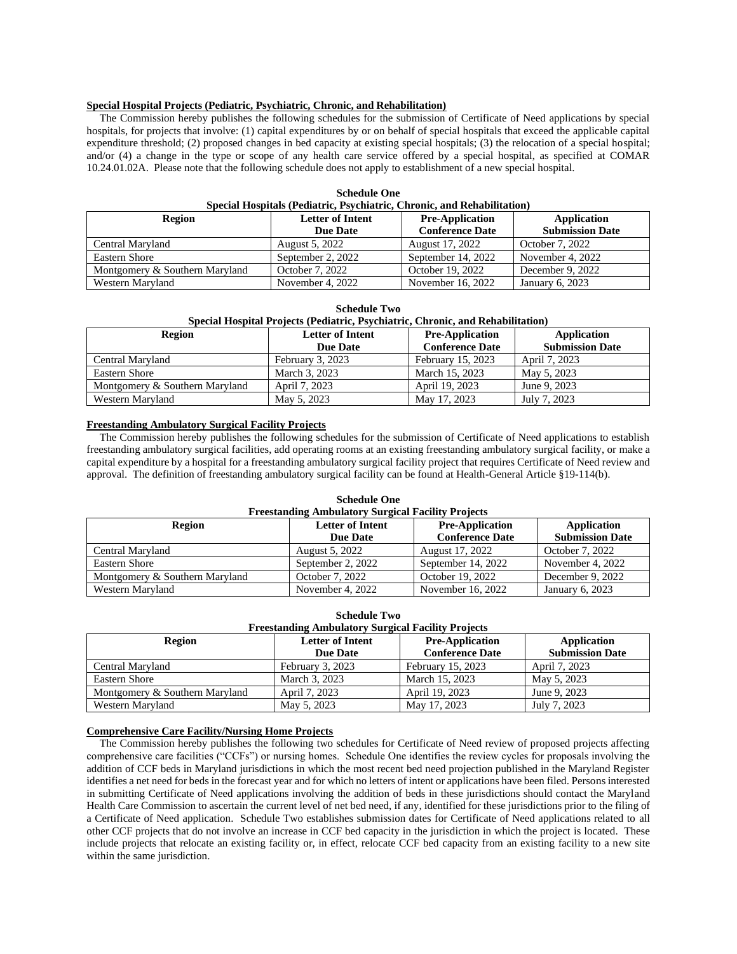### **Special Hospital Projects (Pediatric, Psychiatric, Chronic, and Rehabilitation)**

The Commission hereby publishes the following schedules for the submission of Certificate of Need applications by special hospitals, for projects that involve: (1) capital expenditures by or on behalf of special hospitals that exceed the applicable capital expenditure threshold; (2) proposed changes in bed capacity at existing special hospitals; (3) the relocation of a special hospital; and/or (4) a change in the type or scope of any health care service offered by a special hospital, as specified at COMAR 10.24.01.02A. Please note that the following schedule does not apply to establishment of a new special hospital.

| Special Hospitals (Pediatric, Psychiatric, Chronic, and Rehabilitation)                                                                           |                   |                    |                  |  |  |
|---------------------------------------------------------------------------------------------------------------------------------------------------|-------------------|--------------------|------------------|--|--|
| <b>Letter of Intent</b><br><b>Pre-Application</b><br><b>Region</b><br>Application<br><b>Submission Date</b><br><b>Conference Date</b><br>Due Date |                   |                    |                  |  |  |
| Central Maryland                                                                                                                                  | August 5, 2022    | August 17, 2022    | October 7, 2022  |  |  |
| Eastern Shore                                                                                                                                     | September 2, 2022 | September 14, 2022 | November 4, 2022 |  |  |
| Montgomery & Southern Maryland                                                                                                                    | October 7, 2022   | October 19, 2022   | December 9, 2022 |  |  |
| Western Maryland                                                                                                                                  | November 4, 2022  | November 16, 2022  | January 6, 2023  |  |  |

| <b>Schedule One</b>                                                            |  |
|--------------------------------------------------------------------------------|--|
| <b>Special Hospitals (Pediatric, Psychiatric, Chronic, and Rehabilitation)</b> |  |

### **Special Hospital Projects (Pediatric, Psychiatric, Chronic, and Rehabilitation)**

| Region                         | <b>Letter of Intent</b> | <b>Pre-Application</b> | <b>Application</b>     |
|--------------------------------|-------------------------|------------------------|------------------------|
|                                | Due Date                | <b>Conference Date</b> | <b>Submission Date</b> |
| Central Maryland               | February 3, 2023        | February 15, 2023      | April 7, 2023          |
| Eastern Shore                  | March 3, 2023           | March 15, 2023         | May 5, 2023            |
| Montgomery & Southern Maryland | April 7, 2023           | April 19, 2023         | June 9, 2023           |
| Western Maryland               | May 5, 2023             | May 17, 2023           | July 7, 2023           |

### **Freestanding Ambulatory Surgical Facility Projects**

The Commission hereby publishes the following schedules for the submission of Certificate of Need applications to establish freestanding ambulatory surgical facilities, add operating rooms at an existing freestanding ambulatory surgical facility, or make a capital expenditure by a hospital for a freestanding ambulatory surgical facility project that requires Certificate of Need review and approval. The definition of freestanding ambulatory surgical facility can be found at Health-General Article §19-114(b).

### **Schedule One**

| <b>Freestanding Ambulatory Surgical Facility Projects</b>                  |                   |                        |                        |  |
|----------------------------------------------------------------------------|-------------------|------------------------|------------------------|--|
| <b>Letter of Intent</b><br><b>Pre-Application</b><br>Application<br>Region |                   |                        |                        |  |
|                                                                            | <b>Due Date</b>   | <b>Conference Date</b> | <b>Submission Date</b> |  |
| Central Maryland                                                           | August 5, 2022    | August 17, 2022        | October 7, 2022        |  |
| <b>Eastern Shore</b>                                                       | September 2, 2022 | September 14, 2022     | November 4, 2022       |  |
| Montgomery & Southern Maryland                                             | October 7, 2022   | October 19, 2022       | December 9, 2022       |  |
| Western Maryland                                                           | November 4, 2022  | November 16, 2022      | January 6, 2023        |  |

| $\cdots$                                                                                                         |                  |                   |                        |  |  |
|------------------------------------------------------------------------------------------------------------------|------------------|-------------------|------------------------|--|--|
| <b>Freestanding Ambulatory Surgical Facility Projects</b>                                                        |                  |                   |                        |  |  |
| Region<br><b>Letter of Intent</b><br><b>Pre-Application</b><br>Application<br><b>Conference Date</b><br>Due Date |                  |                   |                        |  |  |
|                                                                                                                  |                  |                   | <b>Submission Date</b> |  |  |
| Central Maryland                                                                                                 | February 3, 2023 | February 15, 2023 | April 7, 2023          |  |  |
| <b>Eastern Shore</b>                                                                                             | March 3, 2023    | March 15, 2023    | May 5, 2023            |  |  |
| Montgomery & Southern Maryland                                                                                   | April 7, 2023    | April 19, 2023    | June 9, 2023           |  |  |
| Western Maryland                                                                                                 | May 5, 2023      | May 17, 2023      | July 7, 2023           |  |  |

### **Schedule Two**

#### **Comprehensive Care Facility/Nursing Home Projects**

The Commission hereby publishes the following two schedules for Certificate of Need review of proposed projects affecting comprehensive care facilities ("CCFs") or nursing homes. Schedule One identifies the review cycles for proposals involving the addition of CCF beds in Maryland jurisdictions in which the most recent bed need projection published in the Maryland Register identifies a net need for beds in the forecast year and for which no letters of intent or applications have been filed. Persons interested in submitting Certificate of Need applications involving the addition of beds in these jurisdictions should contact the Maryland Health Care Commission to ascertain the current level of net bed need, if any, identified for these jurisdictions prior to the filing of a Certificate of Need application. Schedule Two establishes submission dates for Certificate of Need applications related to all other CCF projects that do not involve an increase in CCF bed capacity in the jurisdiction in which the project is located. These include projects that relocate an existing facility or, in effect, relocate CCF bed capacity from an existing facility to a new site within the same jurisdiction.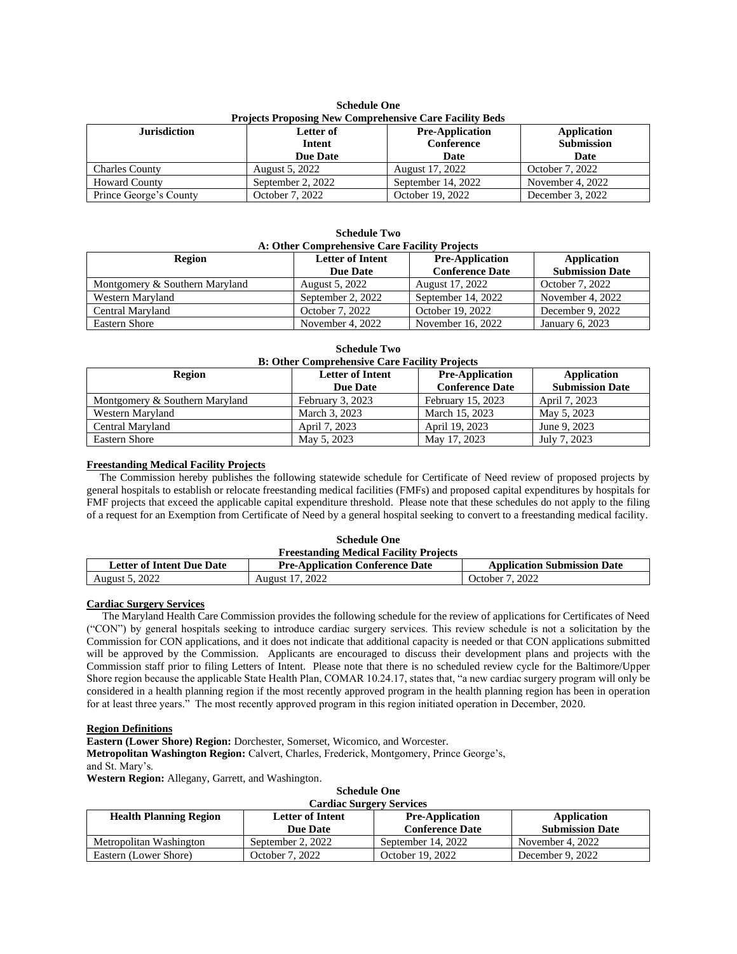| <b>Schedule One</b>                                     |  |  |  |  |
|---------------------------------------------------------|--|--|--|--|
| Projects Proposing New Comprehensive Care Facility Beds |  |  |  |  |

| <b>Jurisdiction</b>    | Letter of<br>Intent<br>Due Date | <b>Pre-Application</b><br>Conference<br>Date | Application<br><b>Submission</b><br>Date |
|------------------------|---------------------------------|----------------------------------------------|------------------------------------------|
| <b>Charles County</b>  | August 5, 2022                  | August 17, 2022                              | October 7, 2022                          |
| <b>Howard County</b>   | September 2, 2022               | September 14, 2022                           | November 4, 2022                         |
| Prince George's County | October 7, 2022                 | October 19, 2022                             | December 3, 2022                         |

**Schedule Two**

| <b>Schedule 1 WO</b><br>A: Other Comprehensive Care Facility Projects |                                            |                                                  |                                              |  |
|-----------------------------------------------------------------------|--------------------------------------------|--------------------------------------------------|----------------------------------------------|--|
| Region                                                                | <b>Letter of Intent</b><br><b>Due Date</b> | <b>Pre-Application</b><br><b>Conference Date</b> | <b>Application</b><br><b>Submission Date</b> |  |
| Montgomery & Southern Maryland                                        | August 5, 2022                             | August 17, 2022                                  | October 7, 2022                              |  |
| Western Maryland                                                      | September 2, 2022                          | September 14, 2022                               | November 4, 2022                             |  |
| Central Maryland                                                      | October 7, 2022                            | October 19, 2022                                 | December 9, 2022                             |  |
| <b>Eastern Shore</b>                                                  | November 4, 2022                           | November 16, 2022                                | January 6, 2023                              |  |

**Schedule Two B: Other Comprehensive Care Facility Projects**

| <b>Region</b>                  | <b>Letter of Intent</b><br><b>Due Date</b> | <b>Pre-Application</b><br><b>Conference Date</b> | Application<br><b>Submission Date</b> |
|--------------------------------|--------------------------------------------|--------------------------------------------------|---------------------------------------|
| Montgomery & Southern Maryland | February 3, 2023                           | February 15, 2023                                | April 7, 2023                         |
| Western Maryland               | March 3, 2023                              | March 15, 2023                                   | May 5, 2023                           |
| Central Maryland               | April 7, 2023                              | April 19, 2023                                   | June 9, 2023                          |
| <b>Eastern Shore</b>           | May 5, 2023                                | May 17, 2023                                     | July 7, 2023                          |

### **Freestanding Medical Facility Projects**

The Commission hereby publishes the following statewide schedule for Certificate of Need review of proposed projects by general hospitals to establish or relocate freestanding medical facilities (FMFs) and proposed capital expenditures by hospitals for FMF projects that exceed the applicable capital expenditure threshold. Please note that these schedules do not apply to the filing of a request for an Exemption from Certificate of Need by a general hospital seeking to convert to a freestanding medical facility.

|                                               | <b>Schedule One</b>                    |                                    |  |
|-----------------------------------------------|----------------------------------------|------------------------------------|--|
| <b>Freestanding Medical Facility Projects</b> |                                        |                                    |  |
| <b>Letter of Intent Due Date</b>              | <b>Pre-Application Conference Date</b> | <b>Application Submission Date</b> |  |
| August 5, 2022                                | August 17, 2022                        | October 7, 2022                    |  |

### **Cardiac Surgery Services**

The Maryland Health Care Commission provides the following schedule for the review of applications for Certificates of Need ("CON") by general hospitals seeking to introduce cardiac surgery services. This review schedule is not a solicitation by the Commission for CON applications, and it does not indicate that additional capacity is needed or that CON applications submitted will be approved by the Commission. Applicants are encouraged to discuss their development plans and projects with the Commission staff prior to filing Letters of Intent. Please note that there is no scheduled review cycle for the Baltimore/Upper Shore region because the applicable State Health Plan, COMAR 10.24.17, states that, "a new cardiac surgery program will only be considered in a health planning region if the most recently approved program in the health planning region has been in operation for at least three years." The most recently approved program in this region initiated operation in December, 2020.

### **Region Definitions**

**Eastern (Lower Shore) Region:** Dorchester, Somerset, Wicomico, and Worcester. **Metropolitan Washington Region:** Calvert, Charles, Frederick, Montgomery, Prince George's, and St. Mary's.

**Western Region:** Allegany, Garrett, and Washington.

| <b>Schedule One</b>                                                                                              |  |
|------------------------------------------------------------------------------------------------------------------|--|
| $\mathbf{1}, \ldots, \mathbf{1}, \ldots, \mathbf{C}, \ldots, \mathbf{C}, \ldots, \mathbf{C}, \ldots, \mathbf{C}$ |  |

| <b>Cardiac Surgery Services</b> |                         |                        |                        |
|---------------------------------|-------------------------|------------------------|------------------------|
| <b>Health Planning Region</b>   | <b>Letter of Intent</b> | <b>Pre-Application</b> | Application            |
|                                 | <b>Due Date</b>         | <b>Conference Date</b> | <b>Submission Date</b> |
| Metropolitan Washington         | September 2, 2022       | September 14, 2022     | November 4, 2022       |
| Eastern (Lower Shore)           | October 7, 2022         | October 19, 2022       | December 9, 2022       |